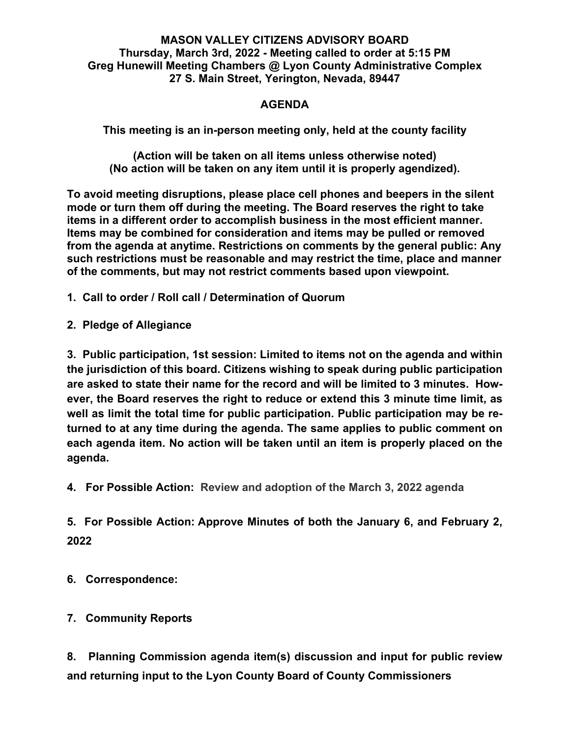## **MASON VALLEY CITIZENS ADVISORY BOARD Thursday, March 3rd, 2022 - Meeting called to order at 5:15 PM Greg Hunewill Meeting Chambers @ Lyon County Administrative Complex 27 S. Main Street, Yerington, Nevada, 89447**

## **AGENDA**

**This meeting is an in-person meeting only, held at the county facility**

**(Action will be taken on all items unless otherwise noted) (No action will be taken on any item until it is properly agendized).**

**To avoid meeting disruptions, please place cell phones and beepers in the silent mode or turn them off during the meeting. The Board reserves the right to take items in a different order to accomplish business in the most efficient manner. Items may be combined for consideration and items may be pulled or removed from the agenda at anytime. Restrictions on comments by the general public: Any such restrictions must be reasonable and may restrict the time, place and manner of the comments, but may not restrict comments based upon viewpoint.**

**1. Call to order / Roll call / Determination of Quorum**

**2. Pledge of Allegiance**

**3. Public participation, 1st session: Limited to items not on the agenda and within the jurisdiction of this board. Citizens wishing to speak during public participation are asked to state their name for the record and will be limited to 3 minutes. However, the Board reserves the right to reduce or extend this 3 minute time limit, as well as limit the total time for public participation. Public participation may be returned to at any time during the agenda. The same applies to public comment on each agenda item. No action will be taken until an item is properly placed on the agenda.**

**4. For Possible Action: Review and adoption of the March 3, 2022 agenda** 

**5. For Possible Action: Approve Minutes of both the January 6, and February 2, 2022**

**6. Correspondence:**

**7. Community Reports**

**8. Planning Commission agenda item(s) discussion and input for public review and returning input to the Lyon County Board of County Commissioners**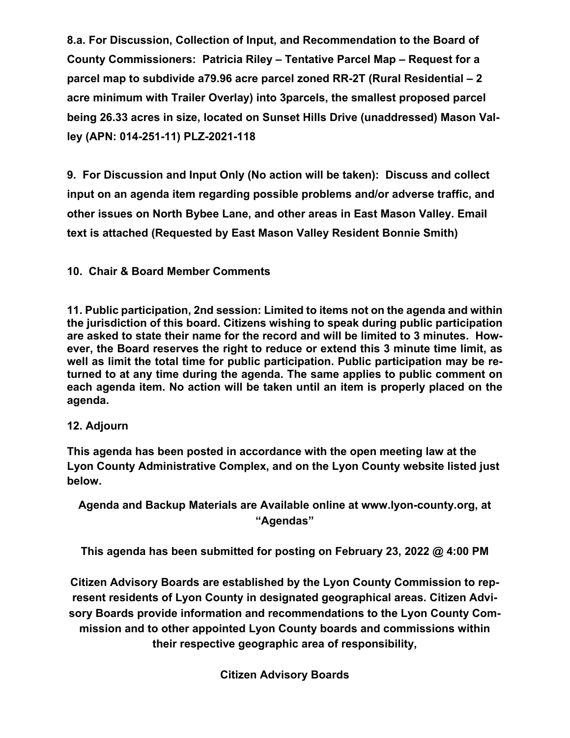**8.a. For Discussion, Collection of Input, and Recommendation to the Board of County Commissioners: Patricia Riley – Tentative Parcel Map – Request for a parcel map to subdivide a79.96 acre parcel zoned RR-2T (Rural Residential – 2 acre minimum with Trailer Overlay) into 3parcels, the smallest proposed parcel being 26.33 acres in size, located on Sunset Hills Drive (unaddressed) Mason Valley (APN: 014-251-11) PLZ-2021-118**

**9. For Discussion and Input Only (No action will be taken): Discuss and collect input on an agenda item regarding possible problems and/or adverse traffic, and other issues on North Bybee Lane, and other areas in East Mason Valley. Email text is attached (Requested by East Mason Valley Resident Bonnie Smith)**

## **10. Chair & Board Member Comments**

**11. Public participation, 2nd session: Limited to items not on the agenda and within the jurisdiction of this board. Citizens wishing to speak during public participation are asked to state their name for the record and will be limited to 3 minutes. However, the Board reserves the right to reduce or extend this 3 minute time limit, as well as limit the total time for public participation. Public participation may be returned to at any time during the agenda. The same applies to public comment on each agenda item. No action will be taken until an item is properly placed on the agenda.**

## **12. Adjourn**

**This agenda has been posted in accordance with the open meeting law at the Lyon County Administrative Complex, and on the Lyon County website listed just below.**

**Agenda and Backup Materials are Available online at [www.lyon-county.org,](http://www.lyon-county.org/) at "Agendas"**

**This agenda has been submitted for posting on February 23, 2022 @ 4:00 PM**

**Citizen Advisory Boards are established by the Lyon County Commission to represent residents of Lyon County in designated geographical areas. Citizen Advisory Boards provide information and recommendations to the Lyon County Commission and to other appointed Lyon County boards and commissions within their respective geographic area of responsibility,**

**Citizen Advisory Boards**